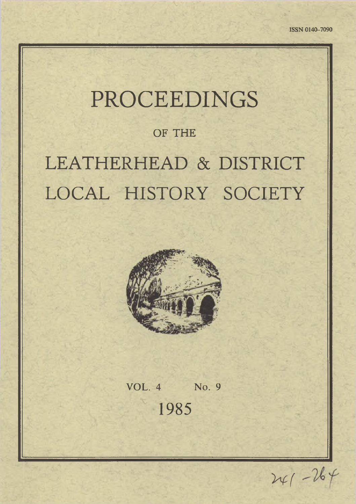# PROCEEDINGS

# **OF THE**

# LEATHERHEAD & DISTRICT LOCAL HISTORY SOCIETY



**VOL. 4 No. 9** 1985

*'Hf*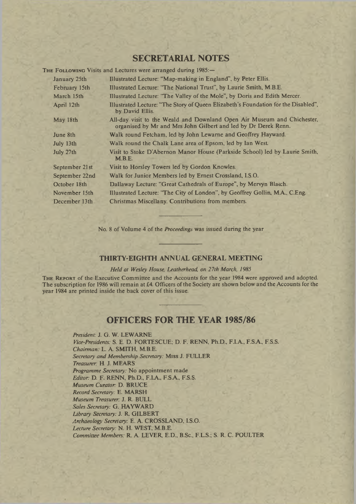### **SECRETARIAL NOTES**

THE FOLLOWING Visits and Lectures were arranged during  $1985 =$ 

| January 25th   | Illustrated Lecture: "Map-making in England", by Peter Ellis.                                                                             |
|----------------|-------------------------------------------------------------------------------------------------------------------------------------------|
| February 15th  | Illustrated Lecture: "The National Trust", by Laurie Smith, M.B.E.                                                                        |
| March 15th     | Illustrated Lecture: "The Valley of the Mole", by Doris and Edith Mercer.                                                                 |
| April 12th     | Illustrated Lecture: "The Story of Queen Elizabeth's Foundation for the Disabled",<br>by David Ellis.                                     |
| May 18th       | All-day visit to the Weald and Downland Open Air Museum and Chichester,<br>organised by Mr and Mrs John Gilbert and led by Dr Derek Renn. |
| June 8th       | Walk round Fetcham, led by John Lewarne and Geoffrey Hayward.                                                                             |
| July 13th      | Walk round the Chalk Lane area of Epsom, led by Ian West.                                                                                 |
| July 27th      | Visit to Stoke D'Abernon Manor House (Parkside School) led by Laurie Smith,<br>M.B.E.                                                     |
| September 21st | Visit to Horsley Towers led by Gordon Knowles.                                                                                            |
| September 22nd | Walk for Junior Members led by Ernest Crossland, I.S.O.                                                                                   |
| October 18th   | Dallaway Lecture: "Great Cathedrals of Europe", by Mervyn Blacch.                                                                         |
| November 15th  | Illustrated Lecture: "The City of London", by Geoffrey Gollin, M.A., C.Eng.                                                               |
| December 13th  | Christmas Miscellany. Contributions from members.                                                                                         |

No. 8 of Volume 4 of the *Proceedings* was issued during the year

#### **THIRTY-EIGHTH ANNUAL GENERAL MEETING**

#### *Held at Wesley House, Leatherhead, on 27th March, 1985*

THE REPORT of the Executive Committee and the Accounts for the year 1984 were approved and adopted. The subscription for 1986 will remain at £4. Officers of the Society are shown below and the Accounts for the year 1984 are printed inside the back cover of this issue.

### **OFFICERS FOR THE YEAR 1985/86**

*President:* J. G. W. LEWARNE *Vice-Presidents:* S. E. D. FORTESCUE; D. F. RENN, Ph.D., F.I.A., F.S.A., F.S.S. *Chairman:* L. A. SMITH, M.B.E. *Secretary and Membership Secretary:* Miss J. FULLER *Treasurer:* H. J. MEARS *Programme Secretary:* No appointment made *Editor:* D. F. RENN, Ph.D., F.I.A., F.S.A., F.S.S. *Museum Curator:* D. BRUCE *Record Secretary:* E. MARSH *Museum Treasurer:* J. R. BULL *Sales Secretary:* G. HAYWARD *Library Secretary:* J. R. GILBERT *Archaeology Secretary:* E. A. CROSSLAND, I.S.O. *Lecture Secretary:* N. H. WEST, M.B.E. *Committee Members:* R. A. LEVER, E.D., B.Sc., F.L.S.; S. R. C. POULTER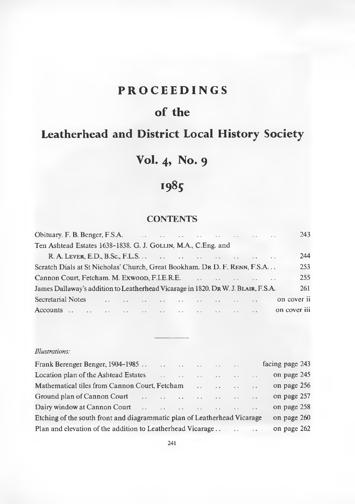## PROCEEDINGS

# of the

# Leatherhead and District Local History Society

# Vol. **4** , No. **9**

# 1985

## **CONTENTS**

|                                                                                    |                 |                                                                                                                                                                                                                               |  |  |  |  | 243          |
|------------------------------------------------------------------------------------|-----------------|-------------------------------------------------------------------------------------------------------------------------------------------------------------------------------------------------------------------------------|--|--|--|--|--------------|
| Ten Ashtead Estates 1638–1838. G. J. GOLLIN, M.A., C.Eng. and                      |                 |                                                                                                                                                                                                                               |  |  |  |  |              |
|                                                                                    |                 |                                                                                                                                                                                                                               |  |  |  |  | 244          |
| Scratch Dials at St Nicholas' Church, Great Bookham. DR D. F. RENN, F.S.A          |                 |                                                                                                                                                                                                                               |  |  |  |  | 253          |
|                                                                                    |                 |                                                                                                                                                                                                                               |  |  |  |  | 255          |
| James Dallaway's addition to Leatherhead Vicarage in 1820. Dr. W. J. BLAIR, F.S.A. |                 |                                                                                                                                                                                                                               |  |  |  |  | 261          |
| Secretarial Notes                                                                  |                 | the problem of the company of the company of the company of the company of the company of the company of the company of the company of the company of the company of the company of the company of the company of the company |  |  |  |  | on cover ii  |
| Accounts                                                                           | $\sim$ . $\sim$ | والمستقرع والمستنقص والمستقرئ والمستقر والمستقر والمستنقص والمستنقر                                                                                                                                                           |  |  |  |  | on cover iii |

#### *Illustrations:*

| Frank Berenger Benger, 1904–1985                                         |                                                                                                                                                                                                                                | and the second contract of the second second second and the second second second second second second second second second second second second second second second second second second second second second second second s |                                          |        | facing page 243 |
|--------------------------------------------------------------------------|--------------------------------------------------------------------------------------------------------------------------------------------------------------------------------------------------------------------------------|--------------------------------------------------------------------------------------------------------------------------------------------------------------------------------------------------------------------------------|------------------------------------------|--------|-----------------|
| Location plan of the Ashtead Estates                                     |                                                                                                                                                                                                                                | and the second control and the                                                                                                                                                                                                 | $\sim$ $\sim$ $\sim$                     | $\sim$ | on page 245     |
| Mathematical tiles from Cannon Court, Fetcham                            |                                                                                                                                                                                                                                |                                                                                                                                                                                                                                | the common contract of the common common |        | on page 256     |
| Ground plan of Cannon Court                                              | and the anti-state of the state of the state of the state of the state of the state of the state of the state of the state of the state of the state of the state of the state of the state of the state of the state of the s |                                                                                                                                                                                                                                |                                          |        | on page 257     |
| Dairy window at Cannon Court                                             | and the second complete state of the second complete state of the second complete state of the second complete                                                                                                                 |                                                                                                                                                                                                                                |                                          |        | on page 258     |
| Etching of the south front and diagrammatic plan of Leatherhead Vicarage |                                                                                                                                                                                                                                |                                                                                                                                                                                                                                |                                          |        | on page 260     |
|                                                                          |                                                                                                                                                                                                                                |                                                                                                                                                                                                                                |                                          |        | on page 262     |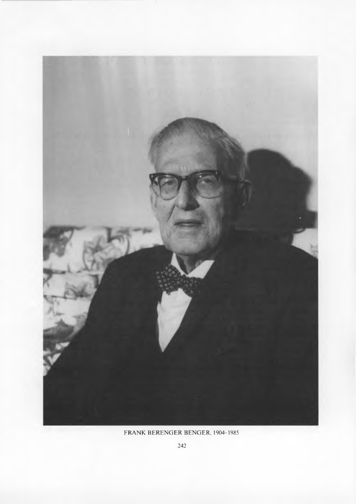

# FRANK BERENGER BENGER, 1904-1985

242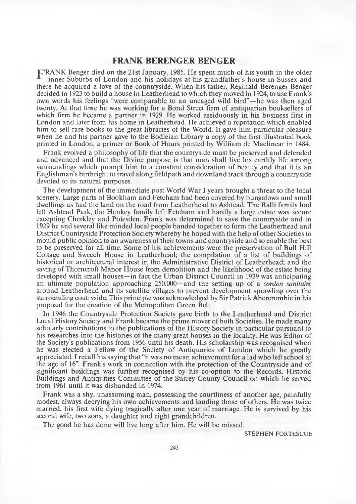#### **FRANK BERENGER BENGER**

T^RANK Benger died on the 21st January, 1985. He spent much of his youth in the older inner Suburbs of London and his holidays at his grandfather's house in Sussex and there he acquired a love of the countryside. W hen his father, Reginald Berenger Benger decided in 1923 to build a house in Leatherhead to which they moved in 1924, to use Frank's own words his feelings "were comparable to an uncaged wild bird"—he was then aged twenty. At that time he was working for a Bond Street firm of antiquarian booksellers of which firm he became a partner in 1929. He worked assiduously in his business first in London and later from his home in Leatherhead. He achieved a reputation which enabled him to sell rare books to the great libraries of the World. It gave him particular pleasure when he and his partner gave to the Bodleian Library a copy of the first illustrated book printed in London, a primer or Book of Hours printed by William de Maclinear in 1484.

Frank evolved a philosophy of life that the countryside must be preserved and defended and advanced and that the Divine purpose is that man shall live his earthly life among surroundings which prompt him to a constant consideration of beauty and that it is an Englishman's birthright to travel along fieldpath and downland track through a countryside devoted to its natural purposes.

The development of the immediate post World War I years brought a threat to the local scenery. Large parts of Bookham and Fetcham had been covered by bungalows and small dwellings as had the land on the road from Leatherhead to Ashtead. The Ralli family had left Ashtead Park, the Hankey family left Fetcham and hardly a large estate was secure excepting Cherkley and Polesden. Frank was determined to save the countryside and in 1929 he and several like minded local people banded together to form the Leatherhead and District Countryside Protection Society whereby he hoped with the help of other Societies to mould public opinion to an awareness of their towns and countryside and so enable the best to be preserved for all time. Some of his achievements were the preservation of Bull Hill Cottage and Sweech House in Leatherhead; the compilation of a list of buildings of historical or architectural interest in the Administrative District of Leatherhead; and the saving of Thorncroft Manor House from demolition and the likelihood of the estate being developed with small houses—in fact the Urban District Council in 1939 was anticipating an ultimate population approaching 250,000—and the setting up of a *cordon sanitaire* around Leatherhead and its satellite villages to prevent development sprawling over the surrounding coutryside. This principle was acknowledged by Sir Patrick Abercrombie in his proposal for the creation of the Metropolitan Green Belt.

In 1946 the Countryside Protection Society gave birth to the Leatherhead and District Local History Society and Frank became the prime mover of both Societies. He made many scholarly contributions to the publications of the History Society in particular pursuant to his researches into the histories of the many great houses in the locality. He was Editor of the Society's publications from 1956 until his death. His scholarship was recognised when he was elected a Fellow of the Society of Antiquaries of London which he greatly appreciated. I recall his saying that "it was no mean achievement for a lad who left school at the age of 16". Frank's work in connection with the protection of the Countryside and of significant buildings was further recognised by his co-option to the Records, Historic Buildings and Antiquities Committee of the Surrey County Council on which he served from 1961 until it was disbanded in 1974.

Frank was a shy, unassuming man, possessing the courtliness of another age, painfully modest, always decrying his own achievements and lauding those of others. He was twice married, his first wife dying tragically after one year of marriage. He is survived by his second wife, two sons, a daughter and eight grandchildren.

The good he has done will live long after him. He will be missed.

STEPHEN FORTESCUE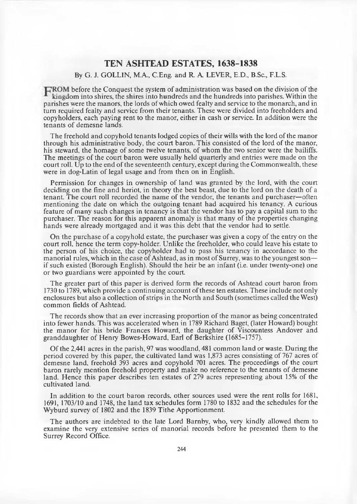#### **TEN ASHTEAD ESTATES, 1638-1838**

#### By G. J. GOLLIN, M.A, C.Eng. and R. A LEVER E.D., B.Sc., F.L.S.

FROM before the Conquest the system of administration was based on the division of the king dom into shires, the shires into hundreds and the hundreds into parishes. Within the parishes were the manors, the lords of which owed fealty and service to the monarch, and in turn required fealty and service from their tenants. These were divided into freeholders and copyholders, each paying rent to the manor, either in cash or service. In addition were the tenants of demesne lands.

The freehold and copyhold tenants lodged copies of their wills with the lord of the manor through his administrative body, the court baron. This consisted of the lord of the manor, his steward, the homage of some twelve tenants, of whom the two senior were the bailiffs. The meetings of the court baron were usually held quarterly and entries were made on the court roll. Up to the end of the seventeenth century, except during the Commonwealth, these were in dog-Latin of legal usage and from then on in English.

Permission for changes in ownership of land was granted by the lord, with the court deciding on the fine and heriot, in theory the best beast, due to the lord on the death of a tenant. The court roll recorded the name of the vendor, the tenants and purchaser—often mentioning the date on which the outgoing tenant had acquired his tenancy. A curious feature of many such changes in tenancy is that the vendor has to pay a capital sum to the purchaser. The reason for this apparent anomaly is that many of the properties changing hands were already mortgaged and it was this debt that the vendor had to settle.

On the purchase of a copyhold estate, the purchaser was given a copy of the entry on the court roll, hence the term copy-holder. Unlike the freeholder, who could leave his estate to the person of his choice, the copyholder had to pass his tenancy in accordance to the m anorial rules, which in the case of Ashtead, as in most of Surrey, was to the youngest son if such existed (Borough English). Should the heir be an infant (i.e. under twenty-one) one or two guardians were appointed by the court.

The greater part of this paper is derived form the records of Ashtead court baron from 1730 to 1789, which provide a continuing account of these ten estates. These include not only enclosures but also a collection of strips in the North and South (sometimes called the West) common fields of Ashtead.

The records show that an ever increasing proportion of the manor as being concentrated into fewer hands. This was accelerated when in 1789 Richard Baget, (later Howard) bought the manor for his bride Frances Howard, the daughter of Viscountess Andover and granddaughter of Henry Bowes-Howard, Earl of Berkshire (1685-1757).

O f the 2,441 acres in the parish, 97 was woodland, 481 common land or waste. During the period covered by this paper, the cultivated land was 1,873 acres consisting of 767 acres of demesne land, freehold 393 acres and copyhold 701 acres. The proceedings of the court baron rarely mention freehold property and make no reference to the tenants of demesne land. Hence this paper describes ten estates of 279 acres representing about 15% of the cultivated land.

In addition to the court baron records, other sources used were the rent rolls for 1681, 1691, 1703/10 and 1748, the land tax schedules form 1780 to 1832 and the schedules for the Wyburd survey of 1802 and the 1839 Tithe Apportionment.

The authors are indebted to the late Lord Barnby, who, very kindly allowed them to examine the very extensive series of manorial records before he presented them to the Surrey Record Office.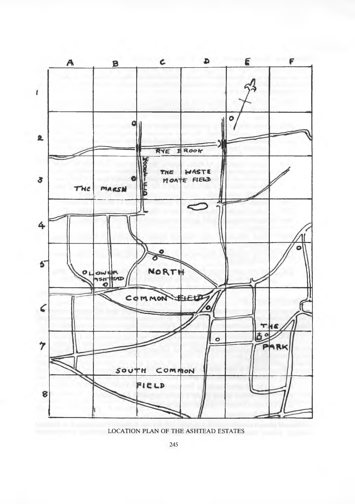

LOCATION PLAN OF THE ASHTEAD ESTATES

245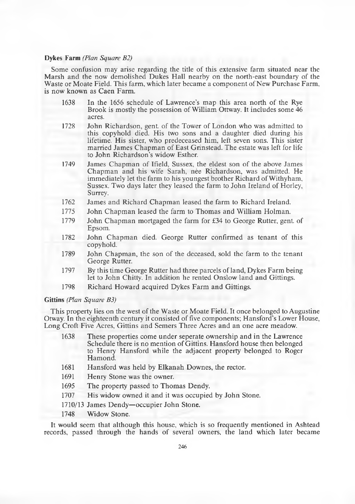#### **Dykes Farm** *(Plan Square B2)*

Some confusion may arise regarding the title of this extensive farm situated near the Marsh and the now demolished Dukes Hall nearby on the north-east boundary of the Waste or Moate Field. This farm, which later became a component of New Purchase Farm, is now known as Caen Farm.

- 1638 In the 1656 schedule of Lawrence's map this area north of the Rye Brook is mostly the possession of William Ottway. It includes some 46 acres.
- 1728 John Richardson, gent, of the Tower of London who was admitted to this copyhold died. His two sons and a daughter died during his lifetime. His sister, who predeceased him, left seven sons. This sister married James Chapman of East Grinstead. The estate was left for life to John Richardson's widow Esther.
- 1749 James Chapman of Ifield, Sussex, the eldest son of the above James Chapman and his wife Sarah, nee Richardson, was admitted. He immediately let the farm to his youngest brother Richard of Withyham, Sussex. Two days later they leased the farm to John Ireland of Horley, Surrey.
- 1762 James and Richard Chapman leased the farm to Richard Ireland.
- 1775 John Chapman leased the farm to Thomas and William Holman.
- 1779 John Chapman mortgaged the farm for £34 to George Rutter, gent. of Epsom.
- 1782 John Chapman died. George Rutter confirmed as tenant of this copyhold.
- 1789 John Chapman, the son of the deceased, sold the farm to the tenant George Rutter.
- 1797 By this time George Rutter had three parcels of land, Dykes Farm being let to John Chitty. In addition he rented Onslow land and Gittings.
- 1798 Richard Howard acquired Dykes Farm and Gittings.

**Gittins** *(Plan Square B3)*

This property lies on the west of the Waste or Moate Field. It once belonged to Augustine Otway. In the eighteenth century it consisted of five components; Hansford's Lower House, Long Croft Five Acres, Gittins and Semers Three Acres and an one acre meadow.

- 1638 These properties come under seperate ownership and in the Lawrence Schedule there is no mention of Gittins. Hansford house then belonged to Henry Hansford while the adjacent property belonged to Roger Hamond.
- 1681 Hansford was held by Elkanah Downes, the rector.
- 1691 Henry Stone was the owner.
- 1695 The property passed to Thomas Dendy.
- 1707 His widow owned it and it was occupied by John Stone.
- 1710/13 James Dendy—occupier John Stone.
- 1748 Widow Stone.

It would seem that although this house, which is so frequently mentioned in Ashtead records, passed through the hands of several owners, the land which later became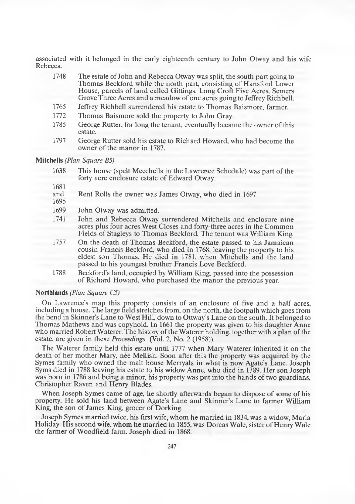associated with it belonged in the early eighteenth century to John Otway and his wife Rebecca.

- 1748 The estate of John and Rebecca Otway was split, the south part going to Thomas Beckford while the north part, consisting of Hansford Lower House, parcels of land called Gittings, Long Croft Five Acres, Semers Grove Three Acres and a meadow of one acres going to Jeffrey Richbell.
- 1765 Jeffrey Richbell surrendered his estate to Thomas Baismore, farmer.<br>1772 Thomas Baismore sold the property to John Gray.
- 1772 Thomas Baismore sold the property to John Gray.<br>1785 George Rutter for long the tenant eventually becan
- George Rutter, for long the tenant, eventually became the owner of this estate.
- 1797 George Rutter sold his estate to Richard Howard, who had become the owner of the manor in 1787.

#### **Mitchells** *(Plan Square B5)*

- 1638 This house (spelt Meechells in the Lawrence Schedule) was part of the forty acre enclosure estate of Edward Otway.
- 1681<br>and
- Rent Rolls the owner was James Otway, who died in 1697.
- 1695
- 1699 John Otway was admitted.
- 1741 John and Rebecca Otway surrendered Mitchells and enclosure nine acres plus four acres West Closes and forty-three acres in the Common Fields of Stagleys to Thomas Beckford. The tenant was William King.
- 1757 On the death of Thomas Beckford, the estate passed to his Jamaican cousin Francis Beckford, who died in 1768, leaving the property to his eldest son Thomas. He died in 1781, when Mitchells and the land passed to his youngest brother Francis Love Beckford.
- 1788 Beckford's land, occupied by William King, passed into the possession of Richard Howard, who purchased the manor the previous year.

#### **Northlands** *(Plan Square C5)*

On Lawrence's map this property consists of an enclosure of five and a half acres, including a house. The large field stretches from, on the north, the footpath which goes from the bend in Skinner's Lane to West Hill, down to Ottway's Lane on the south. It belonged to Thomas Mathews and was copyhold. In 1661 the property was given to his daughter Anne who married Robert Waterer. The history of the Waterer holding, together with a plan of the estate, are given in these *Proceedings* (Vol. 2, No. 2 (1958)).

The Waterer family held this estate until 1777 when Mary Waterer inherited it on the death of her mother Mary, nee Mellish. Soon after this the property was acquired by the Symes family who owned the malt house Merryals in what is now Agate's Lane. Joseph Syms died in 1788 leaving his estate to his widow Anne, who died in 1789. Her son Joseph was born in 1786 and being a minor, his property was put into the hands of two guardians, Christopher Raven and Henry Blades.

When Joseph Symes came of age, he shortly afterwards began to dispose of some of his property. He sold his land between Agate's Lane and Skinner's Lane to farmer William King, the son of James King, grocer of Dorking.

Joseph Symes married twice, his first wife, whom he married in 1834, was a widow, Maria Holiday. His second wife, whom he married in 1855, was Dorcas Wale, sister of Henry Wale the farmer of Woodfield farm. Joseph died in 1868.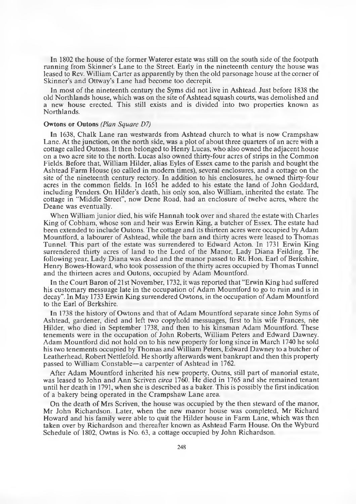In 1802 the house of the former Waterer estate was still on the south side of the footpath running from Skinner's Lane to the Street. Early in the nineteenth century the house was leased to Rev. William Carter as apparently by then the old parsonage house at the corner of Skinner's and Ottway's Lane had become too decrepit.

In most of the nineteenth century the Syms did not live in Ashtead. Just before 1838 the old Northlands house, which was on the site of Ashtead squash courts, was demolished and a new house erected. This still exists and is divided into two properties known as Northlands.

#### **Owtons or Outons** *(Plan Square D7)*

In 1638, Chalk Lane ran westwards from Ashtead church to what is now Crampshaw Lane. At the junction, on the north side, was a plot of about three quarters of an acre with a cottage called Outons. It then belonged to Henry Lucas, who also owned the adjacent house on a two acre site to the north. Lucas also owned thirty-four acres of strips in the Common Fields. Before that, William Hilder, alias Eyles of Essex came to the parish and bought the Ashtead Farm House (so called in modem times), several enclosures, and a cottage on the site of the nineteenth century rectory. In addition to his enclosures, he owned thirty-four acres in the common fields. In 1651 he added to his estate the land of John Goddard, including Penders. On Hilder's death, his only son, also William, inherited the estate. The cottage in "Middle Street", now Dene Road, had an enclosure of twelve acres, where the Deane was eventually.

When William junior died, his wife Hannah took over and shared the estate with Charles King of Cobham, whose son and heir was Erwin King, a butcher of Essex. The estate had been extended to include Outons. The cottage and its thirteen acres were occupied by Adam Mountford, a labourer of Ashtead, while the barn and thirty acres were leased to Thomas Tunnel. This part of the estate was surrendered to Edward Acton. In 1731 Erwin King surrendered thirty acres of land to the Lord of the Manor, Lady Diana Feilding. The following year, Lady Diana was dead and the manor passed to Rt. Hon. Earl of Berkshire, Henry Bowes-Howard, who took possession of the thirty acres occupied by Thomas Tunnel and the thirteen acres and Outons, occupied by Adam Mountford.

In the Court Baron of 21st November, 1732, it was reported that "Erwin King had suffered his customary messuage late in the occupation of Adam Mountford to go to ruin and is in decay". In May 1733 Erwin King surrendered Owtons, in the occupation of Adam Mountford to the Earl of Berkshire.

In 1738 the history of Owtons and that of Adam Mountford separate since John Syms of Ashtead, gardener, died and left two copyhold messuages, first to his wife Frances, nee Hilder, who died in September 1738, and then to his kinsman Adam Mountford. These tenements were in the occupation of John Roberts, W illiam Peters and Edward Dawney. Adam Mountford did not hold on to his new property for long since in March 1740 he sold his two tenements occupied by Thomas and William Peters, Edward Dawney to a butcher of Leatherhead, Robert Nettlefold. He shortly afterwards went bankrupt and then this property passed to William Constable—a carpenter of Ashtead in 1762.

After Adam Mountford inherited his new property, Outns, still part of manorial estate, was leased to John and Ann Scriven *circa* 1760. He died in 1765 and she remained tenant until her death in 1791, when she is described as a baker. This is possibly the first indication of a bakery being operated in the Crampshaw Lane area.

On the death of Mrs Scriven, the house was occupied by the then steward of the manor, Mr John Richardson. Later, when the new manor house was completed, Mr Richard Howard and his family were able to quit the Hilder house in Farm Lane, which was then taken over by Richardson and thereafter known as Ashtead Farm House. On the Wyburd Schedule of 1802, Owtns is No. 63, a cottage occupied by John Richardson.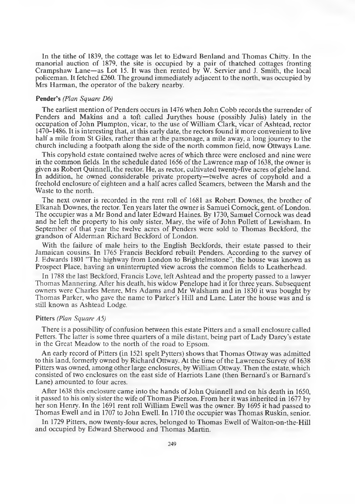In the tithe of 1839, the cottage was let to Edward Benland and Thomas Chitty. In the manorial auction of 1879, the site is occupied by a pair of thatched cottages fronting Crampshaw Lane—as Lot 15. It was then rented by W. Servier and J. Smith, the local policeman. It fetched £260. The ground immediately adjacent to the north, was occupied by Mrs Harman, the operator of the bakery nearby.

#### **Pender's** *(Plan Square D6)*

The earliest mention of Penders occurs in 1476 when John Cobb records the surrender of Penders and Makins and a toft called Jurythes house (possibly Julis) lately in the occupation of John Plumpton, vicar, to the use of W illiam Clark, vicar of Ashtead, rector 1470-1486. It is interesting that, at this early date, the rectors found it more convenient to live half a mile from St Giles, rather than at the parsonage, a mile away, a long journey to the church including a footpath along the side of the north common field, now Ottways Lane.

This copyhold estate contained twelve acres of which three were enclosed and nine were in the common fields. In the schedule dated 1656 of the Lawrence map of 1638, the owner is given as Robert Quinnell, the rector. He, as rector, cultivated twenty-five acres of glebe land. In addition, he owned considerable private property—twelve acres of copyhold and a freehold enclosure of eighteen and a half acres called Seamers, between the Marsh and the Waste to the north.

The next owner is recorded in the rent roll of 1681 as Robert Downes, the brother of Elkanah Downes, the rector. Ten years later the owner is Samuel Comock, gent, of London. The occupier was a Mr Bond and later Edward Haines. By 1730, Samuel Cornock was dead and he left the property to his only sister, Mary, the wife of John Pollett of Lewisham. In September of that year the twelve acres of Penders were sold to Thomas Beckford, the grandson of Alderman Richard Beckford of London.

With the failure of male heirs to the English Beckfords, their estate passed to their Jamaican cousins. In 1765 Francis Beckford rebuilt Penders. According to the survey of J. Edwards 1801 "The highway from London to Brightelmstone", the house was known as Prospect Place, having an uninterrupted view across the common fields to Leatherhead.

In 1788 the last Beckford, Francis Love, left Ashtead and the property passed to a lawyer Thomas Mannering. After his death, his widow Penelope had it for three years. Subsequent owners were Charles Menre, Mrs Adams and Mr Walsham and in 1830 it was bought by Thomas Parker, who gave the name to Parker's Hill and Lane. Later the house was and is still known as Ashtead Lodge.

#### **Pitters** *(Plan Square A5)*

There is a possibility of confusion between this estate Pitters and a small enclosure called Petters. The latter is some three quarters of a mile distant, being part of Lady Darcy's estate in the Great Meadow to the north of the road to Epsom.

An early record of Pitters (in 1521 spelt Pytters) shows that Thomas Ottway was admitted to this land, formerly owned by Richard Ottway. At the time of the Lawrence Survey of 1638 Pitters was owned, among other large enclosures, by William Ottway. Then the estate, which consisted of two enclosures on the east side of Harriots Lane (then Bernard's or Barnard's Lane) amounted to four acres.

After 1638 this enclosure came into the hands of John Quinnell and on his death in 1650, it passed to his only sister the wife of Thomas Pierson. From her it was inherited in 1677 by her son Henry. In the 1691 rent roll William Ewell was the owner. By 1695 it had passed to Thomas Ewell and in 1707 to John Ewell. In 1710 the occupier was Thomas Ruskin, senior.

In 1729 Pitters, now twenty-four acres, belonged to Thomas Ewell of Walton-on-the-Hill and occupied by Edward Sherwood and Thomas Martin.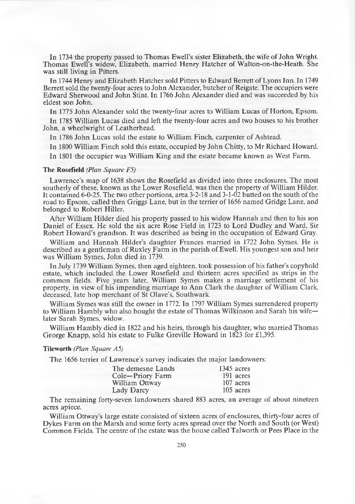In 1734 the property passed to Thomas Ewell's sister Elizabeth, the wife of John Wright. Thomas Ewell's widow, Elizabeth, married Henry Hatcher of W alton-on-the-Heath. She was still living in Pitters.

In 1744 Henry and Elizabeth Hatcher sold Pitters to Edward Berrett of Lyons Inn. In 1749 Berrett sold the twenty-four acres to John Alexander, butcher of Reigate. The occupiers were Edward Sherwood and John Stint. In 1766 John Alexander died and was succeeded by his eldest son John.

In 1775 John Alexander sold the twenty-four acres to William Lucas of Horton, Epsom.

In 1785 William Lucas died and left the twenty-four acres and two houses to his brother John, a wheelwright of Leatherhead.

In 1786 John Lucas sold the estate to William Finch, carpenter of Ashtead.

In 1800 William Finch sold this estate, occupied by John Chitty, to Mr Richard Howard.

In 1801 the occupier was William King and the estate became known as West Farm.

#### **The Rosefield** *(Plan Square F5)*

Lawrence's map of 1638 shows the Rosefield as divided into three enclosures. The most southerly of these, known as the Lower Rosefield, was then the property of William Hilder. It contained 6-0-25. The two other portions, area 3-2-18 and 3-1-02 butted on the south of the road to Epsom, called then Griggs Lane, but in the terrier of 1656 named Gridge Lane, and belonged to Robert Hiller.

After William Hilder died his property passed to his widow Hannah and then to his son Daniel of Essex. He sold the six acre Rose Field in 1723 to Lord Dudley and Ward, Sir Robert Howard's grandson. It was described as being in the occupation of Edward Gray.

William and Hannah Hilder's daughter Frances married in 1722 John Symes. He is described as a gentleman of Ruxley Farm in the parish of Ewell. His youngest son and heir was William Symes, John died in 1739.

In July 1739 William Symes, then aged eighteen, took possession of his father's copyhold estate, which included the Lower Rosefield and thirteen acres specified as strips in the common fields. Five years later, William Symes makes a marriage settlement of his property, in view of his impending marriage to Ann Clark the daughter of William Clark, deceased, late hop merchant of St Olave's, Southwark.

William Symes was still the owner in 1772. In 1797 William Symes surrendered property to William Hambly who also bought the estate of Thomas Wilkinson and Sarah his wifelater Sarah Symes, widow.

William Hambly died in 1822 and his heirs, through his daughter, who married Thomas George Knapp, sold his estate to Fulke Greville Howard in 1823 for £1,395.

#### **Tileworth** *(Plan Square A5)*

The 1656 terrier of Lawrence's survey indicates the major landowners:

| The demesne Lands | 1345 acres |
|-------------------|------------|
| Cole-Priory Farm  | 191 acres  |
| William Ottway    | 107 acres  |
| Lady Darcy        | 105 acres  |

The remaining forty-seven landowners shared 883 acres, an average of about nineteen acres apiece.

William Ottway's large estate consisted of sixteen acres of enclosures, thirty-four acres of Dykes Farm on the Marsh and some forty acres spread over the North and South (or West) Common Fields. The centre of the estate was the house called Talworth or Pees Place in the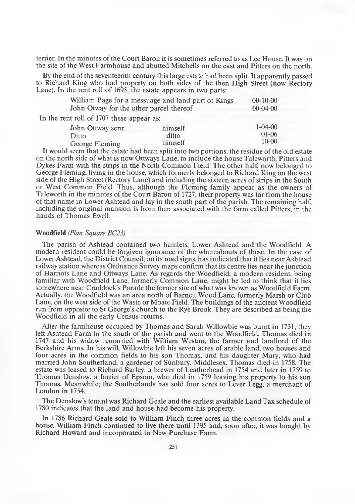terrier. In the minutes of the Court Baron it is sometimes referred to as Lee House. It was on the site of the West Farmhouse and abutted Mitchells on the east and Pitters on the north.

By the end of the seventeenth century this large estate had been split. It apparently passed to Richard King who had property on both sides of the then High Street (now Rectory Lane). In the rent roll of 1695, the estate appears in two parts:

| William Page for a messuage and land part of Kings | $00-10-00$ |               |
|----------------------------------------------------|------------|---------------|
| John Otway for the other parcel thereof            | $00-04-00$ |               |
| In the rent roll of 1707 these appear as:          |            |               |
| John Ottway senr.                                  | himself    | $1 - 04 - 00$ |
| Ditto                                              | ditto      | $01 - 06$     |
| George Fleming                                     | himself    | $10 - 00$     |

It would seem that the estate had been split into two portions, the residue of the old estate on the north side of what is now Ottways Lane, to include the house Taleworth, Pitters and Dykes Farm with the strips in the North Common Field. The other half, now belonged to George Fleming, living in the house, which formerly belonged to Richard King on the west side of the High Street (Rectory Lane) and including the sixteen acres of strips in the South or West Common Field. Thus, although the Fleming family appear as the owners of Taleworth in the minutes of the Court Baron of 1727, their property was far from the house of that name in Lower Ashtead and lay in the south part of the parish. The remaining half, including the original mansion is from then associated with the farm called Pitters, in the hands of Thomas Ewell.

#### **Woodfield** *(Plan Square BC23)*

The parish of Ashtead contained two hamlets, Lower Ashtead and the Woodfield. A modern resident could be forgiven ignorance of the whereabouts of these. In the case of Lower Ashtead, the District Council, on its road signs, has indicated that it lies near Ashtead railway station whereas Ordnance Survey maps confirm that its centre lies near the junction of Harriots Lane and Ottways Lane. As regards the Woodfield, a modern resident, being familiar with Woodfield Lane, formerly Common Lane, might be led to think that it lies somewhere near Craddock's Parade the former site of what was known as Woodfield Farm. Actually, the Woodfield was an area north of Barnett Wood Lane, formerly Marsh or Club Lane, on the west side of the Waste or Moate Field. The buildings of the ancient Woodfield run from opposite to St George's church to the Rye Brook. They are described as being the Woodfield in all the early Census returns.

After the farmhouse occupied by Thomas and Sarah Willowbie was burnt in 1731, they left Ashtead Farm in the south of the parish and went to the Woodfield. Thomas died in 1747 and his widow remarried with William Weston, the farmer and landlord of the Berkshire Arms. In his will, Willowbie left his seven acres of arable land, two houses and four acres in the common fields to his son Thomas, and his daughter Mary, who had married John Southerland, a gardener of Sunbury, Middlesex. Thomas died in 1758. The estate was leased to Richard Barley, a brewer of Leatherhead in 1754 and later in 1759 to Thomas Denslow, a farrier of Epsom, who died in 1759 leaving his property to his son Thomas. Meanwhile; the Southerlands has sold four acres to Lever Legg, a merchant of London in 1754.

The Denslow's tenant was Richard Geale and the earliest available Land Tax schedule of 1780 indicates that the land and house had become his property.

In 1786 Richard Geale sold to William Finch three acres in the common fields and a house. William Finch continued to live there until 1795 and, soon after, it was bought by Richard Howard and incorporated in New Purchase Farm.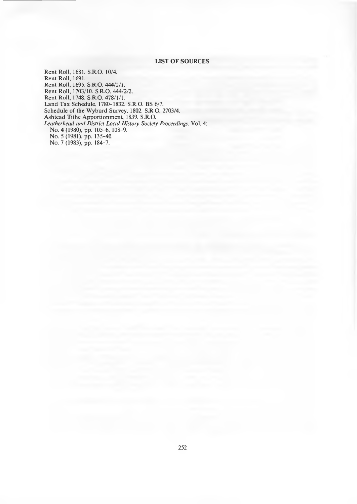#### **LIST OF SOURCES**

Rent Roll, 1681. S.R.O. 10/4. Rent Roll, 1691. Rent Roll, 1695. S.R.O. 444/2/1. Rent Roll, 1703/10. S.R.O. 444/2/2. Rent Roll, 1748. S.RO. 478/1/1. Land Tax Schedule, 1780-1832. S.R.O. BS 6/7. Schedule of the Wyburd Survey, 1802. S.R.O. 2703/4. Ashtead Tithe Apportionment, 1839. S.R.O. *Leatherhead and District Local History Society Proceedings,* Vol. 4: No. 4 (1980), pp. 105-6, 108-9. No. 5 (1981), pp. 135-40. No. 7 (1983), pp. 184-7.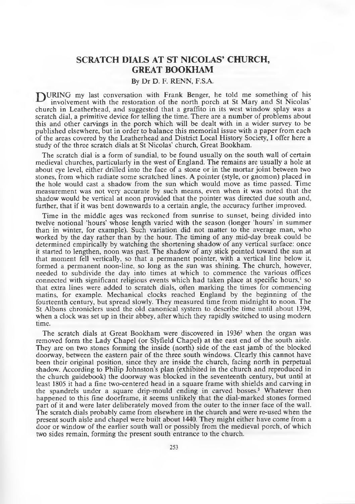#### **SCRATCH DIALS AT ST NICOLAS' CHURCH, GREAT BOOKHAM**

#### By Dr D. F. RENN, F.S.A.

TURING my last conversation with Frank Benger, he told me something of his involvement with the restoration of the north porch at St Mary and St Nicolas' church in Leatherhead, and suggested that a graffito in its west window splay was a scratch dial, a primitive device for telling the time. There are a num ber of problems about this and other carvings in the porch which will be dealt with in a wider survey to be published elsewhere, but in order to balance this memorial issue with a paper from each of the areas covered by the Leatherhead and District Local History Society, I offer here a study of the three scratch dials at St Nicolas' church, Great Bookham.

The scratch dial is a form of sundial, to be found usually on the south wall of certain medieval churches, particularly in the west of England. The remains are usually a hole at about eye level, either drilled into the face of a stone or in the mortar joint between two stones, from which radiate some scratched lines. A pointer (style, or gnomon) placed in the hole would cast a shadow from the sun which would move as time passed. Time measurement was not very accurate by such means, even when it was noted that the shadow would be vertical at noon provided that the pointer was directed due south and, further, that if it was bent downwards to a certain angle, the accuracy further improved.

Time in the middle ages was reckoned from sunrise to sunset, being divided into twelve notional 'hours' whose length varied with the season (longer 'hours' in summ er than in winter, for example). Such variation did not matter to the average man, who worked by the day rather than by the hour. The timing of any mid-day break could be determined empirically by watching the shortening shadow of any vertical surface: once it started to lengthen, noon was past. The shadow of any stick pointed toward the sun at that moment fell vertically, so that a perm anent pointer, with a vertical line below it, formed a permanent noon-line, so long as the sun was shining. The church, however, needed to subdivide the day into times at which to commence the various offices connected with significant religious events which had taken place at specific hours, $\frac{1}{2}$  so that extra lines were added to scratch dials, often marking the times for commencing matins, for example. Mechanical clocks reached England by the beginning of the fourteenth century, but spread slowly. They measured time from midnight to noon. The St Albans chroniclers used the old canonical system to describe time until about 1394, when a clock was set up in their abbey, after which they rapidly switched to using modern time.

The scratch dials at Great Bookham were discovered in 1936<sup>2</sup> when the organ was removed form the Lady Chapel (or Slyfield Chapel) at the east end of the south aisle. They are on two stones forming the inside (north) side of the east jamb of the blocked doorway, between the eastern pair of the three south windows. Clearly this cannot have been their original position, since they are inside the church, facing north in perpetual shadow. According to Philip Johnston's plan (exhibited in the church and reproduced in the church guidebook) the doorway was blocked in the seventeenth century, but until at least 1805 it had a fine two-centered head in a square frame with shields and carving in the spandrels under a square drip-mould ending in carved bosses.3 Whatever then happened to this fine doorframe, it seems unlikely that the dial-marked stones formed part of it and were later deliberately moved from the outer to the innier face of the wall. The scratch dials probably came from elsewhere in the church and were re-used when the present south aisle and chapel were built about 1440. They might either have come from a door or window of the earlier south wall or possibly from the medieval porch, of which two sides remain, forming the present south entrance to the church.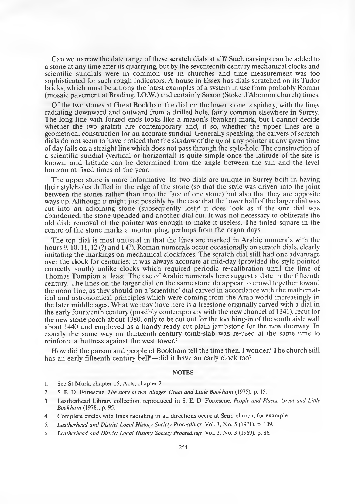Can we narrow the date range of these scratch dials at all? Such carvings can be added to a stone at any time after its quarrying, but by the seventeenth century mechanical clocks and scientific sundials were in common use in churches and time measurement was too sophisticated for such rough indicators. A house in Essex has dials scratched on its Tudor bricks, which must be among the latest examples of a system in use from probably Roman (mosaic pavement at Brading, I.O.W.) and certainly Saxon (Stoke d'Abernon church) times.

Of the two stones at Great Bookham the dial on the lower stone is spidery, with the lines radiating downward and outward from a drilled hole, fairly common elsewhere in Surrey. The long line with forked ends looks like a mason's (banker) mark, but I cannot decide whether the two graffiti are contemporary and, if so, whether the upper lines are a geometrical construction for an accurate sundial. Generally speaking, the carvers of scratch dials do not seem to have noticed that the shadow of the *tip* of any pointer at any given time of day falls on a straight line which does not pass through the style-hole. The construction of a scientific sundial (vertical or horizontal) is quite simple once the latitude of the site is known, and latitude can be determined from the angle between the sun and the level horizon at fixed times of the year.

The upper stone is more informative. Its two dials are unique in Surrey both in having their styleholes drilled in the edge of the stone (so that the style was driven into the joint between the stones rather than into the face of one stone) but also that they are opposite ways up. Although it might just possibly by the case that the lower half of the larger dial was cut into an adjoining stone (subsequently lost)4 it does look as if the one dial was abandoned, the stone upended and another dial cut. It was not necessary to obliterate the old dial: removal of the pointer was enough to make it useless. The tinted square in the centre of the stone marks a mortar plug, perhaps from the organ days.

The top dial is most unusual in that the lines are marked in Arabic numerals with the hours 9,  $\hat{10}$ , 11, 12 (?) and 1 (?), Roman numerals occur occasionally on scratch dials, clearly imitating the markings on mechanical clockfaces. The scratch dial still had one advantage over the clock for centuries: it was always accurate at mid-day (provided the style pointed correctly south) unlike clocks which required periodic re-calibration until the time of Thomas Tompion at least. The use of Arabic numerals here suggest a date in the fifteenth century. The lines on the larger dial on the same stone do appear to crowd together toward the noon-line, as they should on a 'scientific' dial carved in accordance with the mathematical and astronomical principles which were coming from the Arab world increasingly in the later middle ages. W hat we may have here is a freestone originally carved with a dial in the early fourteenth century (possibly contemporary with the new chancel of 1341), recut for the new stone porch about 1380, only to be cut out for the toothing-in of the south aisle wall about 1440 and employed as a handy ready cut plain jam bstone for the new doorway. In exactly the same way an thirteenth-century tomb-slab was re-used at the same time to reinforce a buttress against the west tower.<sup>5</sup>

How did the parson and people of Bookham tell the time then, I wonder? The church still has an early fifteenth century bell<sup>6</sup>—did it have an early clock too?

#### **NOTES**

- 1. See St Mark, chapter 15; Acts, chapter 2.
- 2. S. E. D. Fortescue, *The story of two villages, Great and Little Bookham* (1975), p. 15.
- 3. Leatherhead Library collection, reproduced in S. E. D. Fortescue, *People and Places. Great and Little Bookham* (1978), p. 95.
- 4. Complete circles with lines radiating in all directions occur at Send church, for example.
- 5. *Leatherhead and District Local History Society Proceedings,* Vol. 3, No. 5 (1971), p. 139.
- 6. *Leatherhead and District Local History Society Proceedings,* Vol. 3, No. 3 (1969), p. 86.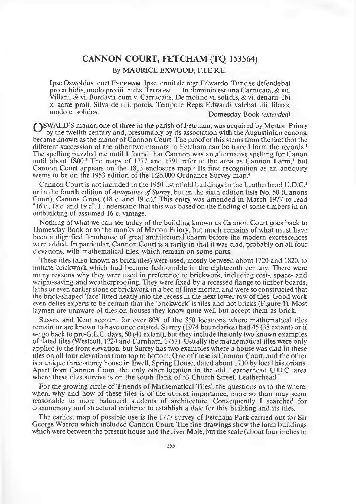#### **CANNON COURT, FETCHAM (TQ 153564)**

By MAURICE EXWOOD, F.I.E.RE.

Ipse Oswoldus tenet FECEHAM. Ipse tenuit de rege Edwardo. Tunc se defendebat pro xi hidis, modo pro iii. hidis. Terra est . . . In dominio est una Carrucata, & xii. Villani, & vi. Bordavii. cum v. Carrucatis. De molino vi. solidis, & vi. denarii. Ibi x. acrae prati. Silva de iiii. porcis. Tempore Regis Edwardi valebat iiii. libras, Domesday Book (extended)

**SWALD'S** manor, one of three in the parish of Fetcham, was acquired by Merton Priory by the twelfth century and, presumably by its association with the Augustinian canons, became known as the manor of Cannon Court. The proof of this stems from the fact that the different succession of the other two manors in Fetcham can be traced form the records.<sup>1</sup> The spelling puzzled me until I found that Cannon was an alternative spelling for Canon until about 1800.<sup>2</sup> The maps of 1777 and 1791 refer to the area as Cannon Farm,<sup>3</sup> but Cannon Court appears on the 1813 enclosure map.3 Its first recognition as an antiquity seems to be on the 1953 edition of the 1:25,000 Ordnance Survey map.<sup>4</sup>

Cannon Court is not included in the 1950 list of old buildings in the Leatherhead U.D.C.<sup>5</sup> or in the fourth edition of *Antiquities of Surrey*, but in the sixth edition lists No. 50 (Canons Court), Canons Grove (18 c. and 19 c.).<sup>6</sup> This entry was amended in March 1977 to read "16 c., 18 c. and 19 c". I understand that this was based on the finding of some timbers in an outbuilding of assumed 16 c. vintage.

Nothing of what we can see today of the building known as Cannon Court goes back to Domesday Book or to the monks of Merton Priory, but much remains of what must have been a dignified farmhouse of great architectural charm before the modern excrescences were added. In particular, Cannon Court is a rarity in that it was clad, probably on all four elevations, with mathematical tiles, which remain on some parts.

These tiles (also known as brick tiles) were used, mostly between about 1720 and 1820, to imitate brickwork which had become fashionable in the eighteenth century. There were many reasons why they were used in preference to brickwork, including cost-, space- and weight-saving and weatherproofing. They were fixed by a recessed flange to timber boards, laths or even earlier stone or brickwork in a bed of lime mortar, and were so constructed that the brick-shaped 'face' fitted neatly into the recess in the next lower row of tiles. Good work even defies experts to be certain that the 'brickwork' is tiles and not bricks (Figure 1). Most laymen are unaware of tiles on houses they know quite well but accept them as brick.

Sussex and Kent account for over 80% of the 850 locations where mathematical tiles remain or are known to have once existed. Surrey (1974 boundaries) had 45 (38 extant) or if we go back to pre-G.L.C. days, 50 (41 extant), but they include the only two known examples of dated tiles (Westcott, 1724 and Farnham, 1757). Usually the mathematical tiles were only applied to the front elevation, but Surrey has two examples where a house was clad in these tiles on all four elevations from top to bottom. One of these is Cannon Court, and the other is a unique three-storey house in Ewell, Spring House, dated about 1730 by local historians. Apart from Cannon Court, the only other location in the old Leatherhead U.D.C. area where these tiles survive is on the south flank of 53 Church Street, Leatherhead.<sup>7</sup>

For the growing circle of 'Friends of Mathematical Tiles', the questions as to the where, when, why and how of these tiles is of the utmost importance, more so than may seem reasonable to more balanced students of architecture. Consequently I searched for documentary and structural evidence to establish a date for this building and its tiles.

The earliest map of possible use is the 1777 survey of Fetcham Park carried out for Sir George Warren which included Cannon Court. The fine drawings show the farm buildings which were between the present house and the river Mole, but the scale (about four inches to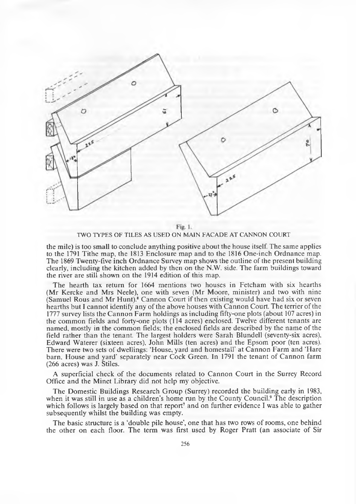

Fig. 1. TWO TYPES OF TILES AS USED ON MAIN FACADE AT CANNON COURT

the mile) is too small to conclude anything positive about the house itself. The same applies to the 1791 Tithe map, the 1813 Enclosure map and to the 1816 One-inch Ordnance map. The 1869 Twenty-five inch Ordnance Survey map shows the outline of the present building clearly, including the kitchen added by then on the N.W. side. The farm buildings toward the river are still shown on the 1914 edition of this map.

The hearth tax return for 1664 mentions two houses in Fetcham with six hearths (Mr Kercke and Mrs Neele), one with seven (Mr Moore, minister) and two with nine (Samuel Rous and Mr Hunt).<sup>8</sup> Cannon Court if then existing would have had six or seven hearths but I cannot identify any of the above houses with Cannon Court. The terrier of the 1777 survey lists the Cannon Farm holdings as including fifty-one plots (about 107 acres) in the common fields and forty-one plots (114 acres) enclosed. Twelve different tenants are named, mostly in the common fields; the enclosed fields are described by the name of the field rather than the tenant. The largest holders were Sarah Blundell (seventy-six acres), Edward Waterer (sixteen acres), John Mills (ten acres) and the Epsom poor (ten acres). There were two sets of dwellings: 'House, yard and homestall' at Cannon Farm and 'Hare barn, House and yard' separately near Cock Green. In 1791 the tenant of Cannon farm (266 acres) was J. Stiles.

A superficial check of the documents related to Cannon Court in the Surrey Record Office and the Minet Library did not help my objective.

The Domestic Buildings Research Group (Surrey) recorded the building early in 1983, when it was still in use as a children's home run by the County Council.<sup>9</sup> The description which follows is largely based on that report<sup>7</sup> and on further evidence I was able to gather subsequently whilst the building was empty.

The basic structure is a 'double pile house', one that has two rows of rooms, one behind the other on each floor. The term was first used by Roger Pratt (an associate of Sir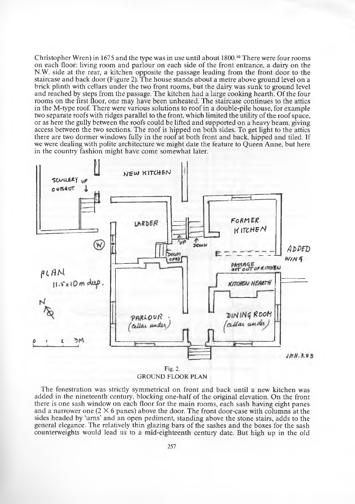Christopher Wren) in 1675 and the type was in use until about  $1800$ .<sup>10</sup> There were four rooms on each floor: living room and parlour on each side of the front entrance, a dairy on the N.W. side at the rear, a kitchen opposite the passage leading from the front door to the staircase and back door (Figure 2). The house stands about a metre above ground level on a brick plinth with cellars under the two front rooms, but the dairy was sunk to ground level and reached by steps from the passage. The kitchen had a large cooking hearth. Of the four rooms on the first floor, one may have been unheated. The staircase continues to the attics in the M-type roof. There were various solutions to roof in a double-pile house, for example two separate roofs with ridges parallel to the front, which limited the utility of the roof space, or as here the gully between the roofs could be lifted and supported on a heavy beam, giving access between the two sections. The roof is hipped on both sides. To get light to the attics there are two dormer windows fully in the roof at both front and back, hipped and tiled. If we were dealing with polite architecture we might date the feature to Queen Anne, but here in the country fashion might have come somewhat later.



GROUND FLOOR PLAN

The fenestration was strictly symmetrical on front and back until a new kitchen was added in the nineteenth century, blocking one-half of the original elevation. On the front there is one sash window on each floor for the main rooms, each sash having eight panes and a narrower one ( $2 \times 6$  panes) above the door. The front door-case with columns at the sides headed by 'urns' and an open pediment, standing above the stone stairs, adds to the general elegance. The relatively thin glazing bars of the sashes and the boxes for the sash counterweights would lead us to a mid-eighteenth century date. But high up in the old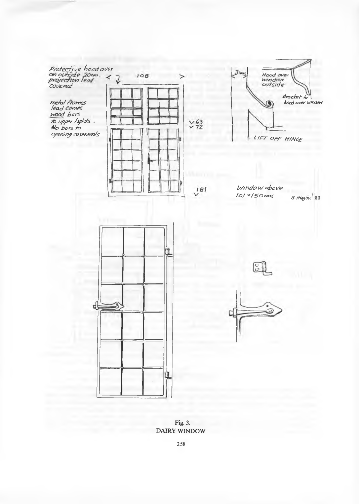*Protecti ve hoed over Covered*

*hetal frames*<br>|ead cames *yvoad bars ib upper tights . No bars to Ofen'/nf ajsewetots*



 $3<sub>cm<sub>3</sub></sub>$ Hood over<br>unndow<br>outside *Br*ac*ket to* .<br>*hocd over window* G *L/t=r o f f H/n g e*

 $Window above$ *roj* × 150 cms *B. Higgin* 83





Fig. 3. DAIRY WINDOW

258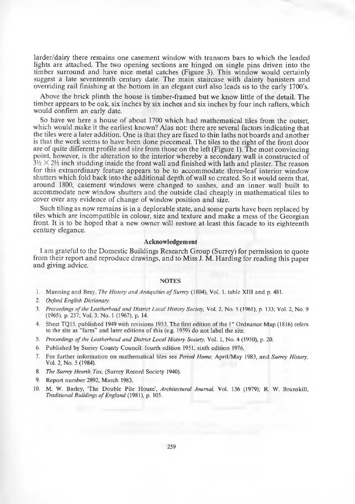larder/dairy there remains one casement window with transom bars to which the leaded lights are attached. The two opening sections are hinged on single pins driven into the timber surround and have nice metal catches (Figure 3). This window would certainly suggest a late seventeenth century date. The main staircase with dainty banisters and overriding rail finishing at the bottom in an elegant curl also leads us to the early 1700's.

Above the brick plinth the house is timber-framed but we know little of the detail. The timber appears to be oak, six inches by six inches and six inches by four inch rafters, which would confirm an early date.

So have we here a house of about 1700 which had mathematical tiles from the outset, which would make it the earliest known? Alas not: there are several factors indicating that the tiles were a later addition. One is that they are fixed to thin laths not boards and another is that the work seems to have been done piecemeal. The tiles to the right of the front door are of quite different profile and size from those on the left (Figure 1). The most convincing point, however, is the alteration to the interior whereby a secondary wall is constructed of  $3\frac{1}{2} \times 2\frac{1}{2}$  inch studding inside the front wall and finished with lath and plaster. The reason for this extraordinary feature appears to be to accommodate three-leaf interior window shutters which fold back into the additional depth of wall so created. So it would seem that, around 1800, casement windows were changed to sashes, and an inner wall built to accommodate new window shutters and the outside clad cheaply in mathematical tiles to cover over any evidence of change of window position and size.

Such tiling as now remains is in a deplorable state, and some parts have been replaced by tiles which are incompatible in colour, size and texture and make a mess of the Georgian front. It is to be hoped that a new owner will restore at least this facade to its eighteenth century elegance.

#### **Acknowledgement**

I am grateful to the Domestic Buildings Research Group (Surrey) for permission to quote from their report and reproduce drawings, and to Miss J. M. Harding for reading this paper and giving advice.

#### **NOTES**

- 1. Manning and Bray, *The History and Antiquities of Surrey* (1804), Vol. 1, table XIII and p. 481.
- *2. Oxford English Dictionary.*
- 3. *Proceedings of the Leatherhead and District Local History Society,* Vol. 2, No. 5 (1961), p. 133; Vol. 2, No. 9 (1965), p. 257; Vol. 3, No. 1 (1967), p. 14.
- 4. Sheet TQ15, published 1949 with revisions 1953. The first edition of the 1" Ordnance Map (1816) refers to the site as "farm" and later editions of this (e.g. 1959) do not label the site.
- 5. *Proceedings of the Leatherhead and District Local History Society,* Vol. 1, No. 4 (1950), p. 20.
- 6. Published by Surrey County Council: fourth edition 1951, sixth edition 1976.
- 7. For further information on mathematical tiles see *Period Home*, April/May 1983, and *Surrey History*, Vol. 2, No. 5 (1984).
- 8. *The Surrey Hearth Tax,* (Surrey Record Society 1940).
- 9. Report number 2892, March 1983.
- 10. M. W. Barley, 'The Double Pile House', *Architectural Journal,* Vol. 136 (1979); R. W. Brunskill, *Traditional Buildings of England* (1981), p. 105.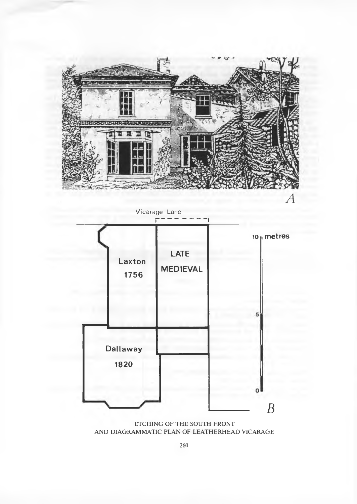

ETCHING OF THE SOUTH FRONT AND DIAGRAMMATIC PLAN OF LEATHERHEAD VICARAGE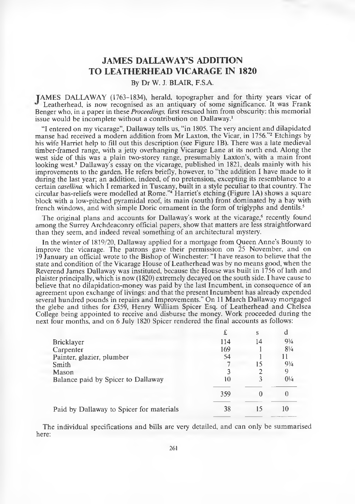## **JAM ES DALLAWAY'S ADDITION TO LEATHERHEAD VICARAGE IN 1820**

By Dr W. J. BLAIR, F.SA.

TAMES DALLAWAY (1763-1834), herald, topographer and for thirty years vicar of Leatherhead, is now recognised as an antiquary of some significance. It was Frank Benger who, in a paper in these *Proceedings,* first rescued him from obscurity: this memorial issue would be incomplete without a contribution on Dallaway.1

"I entered on my vicarage", Dallaway tells us, "in 1805. The very ancient and dilapidated manse had received a modern addition from Mr Laxton, the Vicar, in 1756."<sup>2</sup> Etchings by his wife Harriet help to fill out this description (see Figure IB). There was a late medieval timber-framed range, with a jetty overhanging Vicarage Lane at its north end. Along the west side of this was a plain two-storey range, presumably Laxton's, with a main front looking west.<sup>3</sup> Dallaway's essay on the vicarage, published in 1821, deals mainly with his improvements to the garden. He refers briefly, however, to "the addition I have made to it during the last year; an addition, indeed, of no pretension, excepting its resemblance to a certain *casellina,* which I remarked in Tuscany, built in a style peculiar to that country. The circular bas-reliefs were modelled at Rome."4 Harriet's etching (Figure 1A) shows a square block with a low-pitched pyramidal roof, its main (south) front dominated by a bay with french windows, and with simple Doric ornament in the form of triglyphs and dentils.<sup>5</sup>

The original plans and accounts for Dallaway's work at the vicarage,<sup>6</sup> recently found among the Surrey Archdeaconry official papers, show that matters are less straightforward than they seem, and indeed reveal something of an architectural mystery.

In the winter of 1819/20, Dallaway applied for a mortgage from Queen Anne's Bounty to improve the vicarage. The patrons gave their permission on 25 November, and on 19 January an official wrote to the Bishop of Winchester: "I have reason to believe that the state and condition of the Vicarage House of Leatherhead was by no means good, when the Reverend James Dallaway was instituted, because the House was built in 1756 of lath and plaister principally, which is now (1820) extremely decayed on the south side. I have cause to believe that no dilapidation-money was paid by the last Incumbent, in consequence of an agreement upon exchange of livings: and that the present Incum bent has already expended several hundred pounds in repairs and Improvements." On 11 March Dallaway mortgaged the glebe and tithes for £359, Henry William Spicer Esq. of Leatherhead and Chelsea College being appointed to receive and disburse the money. Work proceeded during the next four months, and on 6 July 1820 Spicer rendered the final accounts as follows:

|                                          |     | S  | d              |
|------------------------------------------|-----|----|----------------|
| <b>Bricklayer</b>                        | 114 | 14 | $9\frac{3}{4}$ |
| Carpenter                                | 169 |    | $8\frac{1}{4}$ |
| Painter, glazier, plumber                | 54  |    |                |
| Smith                                    |     | 15 | $9\frac{3}{4}$ |
| Mason                                    |     |    |                |
| Balance paid by Spicer to Dallaway       | 10  |    | $0\frac{1}{4}$ |
|                                          | 359 | 0  |                |
| Paid by Dallaway to Spicer for materials | 38  | 15 | 10             |

The individual specifications and bills are very detailed, and can only be summarised here: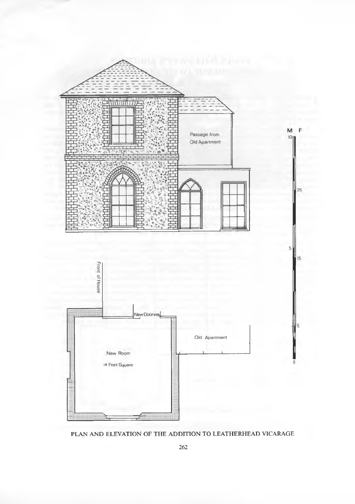

PLAN AND ELEVATION OF THE ADDITION TO LEATHERHEAD VICARAGE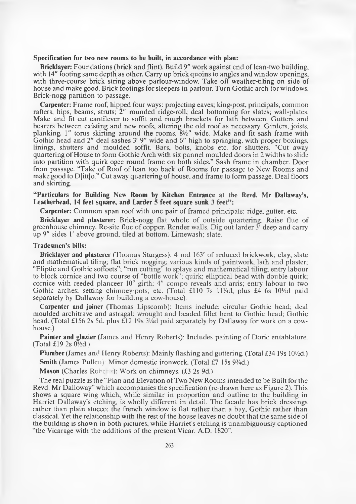#### **Specification for two new rooms to be built, in accordance with plan:**

**Bricklayer:** Foundations (brick and flint). Build 9" work against end of lean-two building, with 14" footing same depth as other. Carry up brick quoins to angles and window openings, with three-course brick string above parlour-window. Take off weather-tiling on side of house and make good. Brick footings for sleepers in parlour. Turn Gothic arch for windows. Brick-nogg partition to passage.

**Carpenter:** Frame roof, hipped four ways: projecting eaves; king-post, principals, common rafters, hips, beams, struts; 2" rounded ridge-roll; deal bottoming for slates; wall-plates. Make and fit cut cantilever to soffit and rough brackets for lath between. Gutters and bearers between existing and new roofs, altering the old roof as necessary. Girders, joists, planking. 1" torus skirting around the rooms, *SVi"* wide. Make and fit sash frame with Gothic head and *2"* deal sashes 3' 9" wide and 6" high to springing, with proper boxings, linings, shutters and moulded soffit. Bars, bolts, knobs etc. for shutters. "Cut away quartering of House to form Gothic Arch with six pannel moulded doors in 2 widths to slide into partition with quirk ogee round frame on both sides." Sash frame in chamber. Door from passage. "Take of Roof of lean too back of Rooms for passage to New Rooms and make good to D[itt]o." Cut away quartering of house, and frame to form passage. Deal floors and skirting.

#### **"Particulars for Building New Room by Kitchen Entrance at the Revd. Mr Dallaway's,** Leatherhead, 14 feet square, and Larder 5 feet square sunk 3 feet":

**Carpenter:** Common span roof with one pair of framed principals; ridge, gutter, etc.

**Bricklayer and plasterer:** Brick-nogg flat whole of outside quartering. Raise flue of greenhouse chimney. Re-site flue of copper. Render walls. Dig out larder  $3<sup>r</sup>$  deep and carry up 9" sides 1' above ground, tiled at bottom. Limewash; slate.

#### **Tradesmen's bills:**

**Bricklayer and plasterer** (Thomas Sturgess): 4 rod 163' of reduced brickwork; clay, slate and mathematical tiling; flat brick nogging; various kinds of paintwork, lath and plaster; "Eliptic and Gothic soffoets"; "run cutting" to splays and mathematical tiling; entry labour to block comice and two course of "bottle work"; quirk; elliptical bead with double quirk; cornice with reeded planceer  $10^{\circ}$  girth;  $4^{\prime\prime}$  compo reveals and arris; entry labour to two Gothic arches; setting chimney-pots; etc. (Total £110 7s 11\4d, plus £4 6s 10\4d paid separately by Dallaway for building a cow-house).

**Carpenter and joiner** (Thomas Lipscomb): Items include: circular Gothic head; deal moulded architrave and astragal; wrought and beaded fillet bent to Gothic head; Gothic head. (Total £156 2s 5d, plus £12 19s 3¼ paid separately by Dallaway for work on a cowhouse.)

**Painter and glazier** (James and Henry Roberts): Includes painting of Doric entablature. (Total £19 2s  $0\frac{1}{2}d$ .)

**Plumber** (James and Henry Roberts): Mainly flashing and guttering. (Total £34 19s 10\/2d.) **Smith (James Pullen): Minor domestic ironwork. (Total £7 15s 9<sup>3</sup>/4d.)** 

**Mason** (Charles Robe -): Work on chimneys. (£3 2s 9d.)

The real puzzle is the "Plan and Elevation of Two New Rooms intended to be Built for the Revd. Mr Dalloway" which accompanies the specification (re-drawn here as Figure 2). This shows a square wing which, while similar in proportion and outline to the building in Harriet Dallaway's etching, is wholly different in detail. The facade has brick dressings rather than plain stucco; the french window is flat rather than a bay, Gothic rather than classical. Yet the relationship with the rest of the house leaves no doubt that the same side of the building is shown in both pictures, while Harriet's etching is unambiguously captioned "the Vicarage with the additions of the present Vicar, A.D. 1820".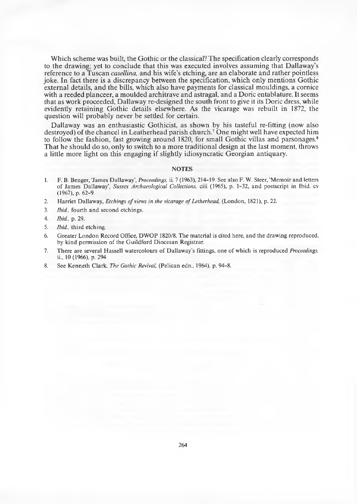Which scheme was built, the Gothic or the classical? The specification clearly corresponds to the drawing; yet to conclude that this was executed involves assuming that Dallaway's reference to a Tuscan *casellina,* and his wife's etching, are an elaborate and rather pointless joke. In fact there is a discrepancy between the specification, which only mentions Gothic external details, and the bills, which also have payments for classical mouldings, a cornice with a reeded planceer, a moulded architrave and astragal, and a Doric entablature. It seems that as work proceeded, Dallaway re-designed the south front to give it its Doric dress, while evidently retaining Gothic details elsewhere. As the vicarage was rebuilt in 1872, the question will probably never be settled for certain.

Dallaway was an enthusiastic Gothicist, as shown by his tasteful re-fitting (now also destroyed) of the chancel in Leatherhead parish church.7 One might well have expected him to follow the fashion, fast growing around 1820, for small Gothic villas and parsonages.<sup>8</sup> That he should do so, only to switch to a more traditional design at the last moment, throws a little more light on this engaging if slightly idiosyncratic Georgian antiquary.

#### **NOTES**

- 1. F. B. Benger, 'James Dallaway', *Proceedings*, ii. 7 (1963), 214–19. See also F. W. Steer, 'Memoir and letters of Jam es Dallaway', *Sussex Archaeological Collections,* ciii (1965), p. 1-32, and postscript in Ibid. cv (1967), p. 62-9.
- 2. Harriet Dallaway, *Etchings of views in the vicarage of Letherhead,* (London, 1821), p. 22.
- 3. *Ibid.,* fourth and second etchings.
- 4. *Ibid.,* p. 29.
- 5. *Ibid.,* third etching.
- 6. Greater London Record Office, DWOP 1820/8. The material is cited here, and the drawing reproduced, by kind permission of the Guildford Diocesan Registrar.
- 7. There are several Hassell watercolours of Dallaway's fittings, one of which is reproduced *Proceedings,* ii., 10 (1966), p. 294
- 8. See Kenneth Clark, *The Gothic Revival,* (Pelican edn., 1964), p. 94-8.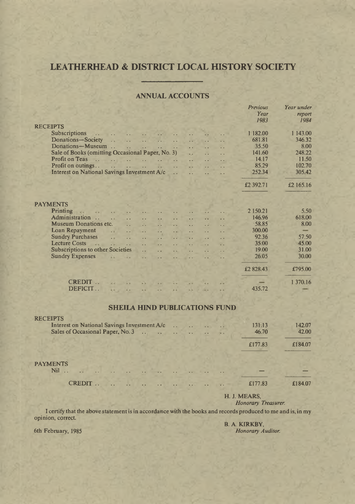## **LEATHERHEAD & DISTRICT LOCAL HISTORY SOCIETY**

#### **ANNUAL ACCOUNTS**

|                                                                                                                                                                                          | Year      | report    |  |  |  |
|------------------------------------------------------------------------------------------------------------------------------------------------------------------------------------------|-----------|-----------|--|--|--|
|                                                                                                                                                                                          | 1983      | 1984      |  |  |  |
| <b>RECEIPTS</b>                                                                                                                                                                          |           |           |  |  |  |
| <b>Subscriptions</b><br>$\overline{\phantom{a}}$<br>$\ddot{\phantom{a}}$<br>$\ddot{\phantom{0}}$<br>$\ddot{\phantom{a}}$                                                                 | 1 182.00  | 1 143.00  |  |  |  |
| Donations-Society<br>$\ddot{\phantom{a}}$<br>$\ddot{\phantom{a}}$<br>$\ddot{\phantom{a}}$<br>$\ddot{\phantom{a}}$<br>$\ddot{\phantom{a}}$<br>$\ddot{\phantom{a}}$                        | 681.81    | 346.32    |  |  |  |
| Donations-Museum<br>$\dddot{\phantom{1}}$<br>$\ddotsc$<br>$\ddot{\phantom{a}}$<br>$\sim$<br>$\ddot{\phantom{0}}$<br>$\ddot{\phantom{0}}$                                                 | 35.50     | 8.00      |  |  |  |
| Sale of Books (omitting Occasional Paper, No. 3)<br>v.<br>И,                                                                                                                             | 141.60    | 248.22    |  |  |  |
| <b>Profit on Teas</b><br>the complete when the complete<br>$\ddotsc$<br>. .                                                                                                              | 14.17     | 11.50     |  |  |  |
| Profit on outings<br>the company of the company<br>$\sim$ $\sim$<br>. .<br>i.                                                                                                            | 85.29     | 102.70    |  |  |  |
| Interest on National Savings Investment A/c<br>$\ddot{\phantom{a}}$<br>$\ddot{\phantom{0}}$<br>$\ddot{\phantom{a}}$                                                                      | 252.34    | 305.42    |  |  |  |
|                                                                                                                                                                                          | £2 392.71 | £2 165.16 |  |  |  |
| <b>PAYMENTS</b>                                                                                                                                                                          |           |           |  |  |  |
| Printing                                                                                                                                                                                 | 2 150.21  | 5.50      |  |  |  |
| <b>Allen</b><br>u.<br>. .<br>Administration                                                                                                                                              | 146.96    | 618.00    |  |  |  |
| a al<br>$\ddot{\phantom{a}}$<br>$\ddot{\phantom{0}}$<br>$\ddot{\phantom{0}}$<br>$\ddot{\phantom{0}}$<br>$\sim$<br>Museum Donations etc.<br>$\ddot{\phantom{a}}$                          | 58.85     | 8.00      |  |  |  |
| $\ddotsc$<br>И.<br>i.<br>Ω.<br>$\ddot{\phantom{1}}$<br>Loan Repayment<br>$\ddotsc$<br>$\sim$<br>$\ddotsc$<br>$\ddot{\phantom{0}}$<br>$\ddot{\phantom{a}}$<br>$\ddot{\phantom{a}}$<br>. . | 300.00    |           |  |  |  |
| <b>Sundry Purchases</b><br>$\ddotsc$<br>$\ddotsc$<br>$\mathbf{r}$<br>$\ddot{\phantom{a}}$<br>$\ddotsc$<br>. .                                                                            | 92.36     | 57.50     |  |  |  |
| $\ddot{\phantom{1}}$<br><b>Lecture Costs</b><br>$\mathbf{r}$<br>$\ddot{\phantom{a}}$<br>$\ddot{\phantom{a}}$<br>$\ddot{\phantom{a}}$<br>a a<br>. .                                       | 35.00     | 45.00     |  |  |  |
| <b>Subscriptions to other Societies</b><br>$\ddot{\phantom{a}}$<br>. .<br>$\ddot{\phantom{a}}$<br>$\ddot{\phantom{a}}$<br>$\ddot{\phantom{a}}$                                           | 19.00     | 31.00     |  |  |  |
| <b>Sundry Expenses</b><br>w.<br>a.<br>$\ddot{\phantom{a}}$<br>$\ddot{\phantom{a}}$<br>$\ddot{\phantom{a}}$<br>$\ddot{\phantom{0}}$<br>Ш.                                                 | 26.05     | 30.00     |  |  |  |
|                                                                                                                                                                                          |           |           |  |  |  |
|                                                                                                                                                                                          | £2828.43  | £795.00   |  |  |  |
| CREDIT.<br>54<br>a.                                                                                                                                                                      |           | 1 370.16  |  |  |  |
| DEFICIT<br><b>AN 2 AN</b><br>w<br>$\overline{a}$<br>43<br>in.<br>44                                                                                                                      | 435.72    |           |  |  |  |
|                                                                                                                                                                                          |           |           |  |  |  |
| <b>SHEILA HIND PUBLICATIONS FUND</b>                                                                                                                                                     |           |           |  |  |  |
|                                                                                                                                                                                          |           |           |  |  |  |
| <b>RECEIPTS</b>                                                                                                                                                                          |           |           |  |  |  |
| Interest on National Savings Investment A/c<br>$\ddot{\phantom{a}}$<br>. .                                                                                                               | 131.13    | 142.07    |  |  |  |
| Sales of Occasional Paper, No. 3<br>$\sim$<br>$\sim$<br>$\ddot{\phantom{a}}$<br>έ.                                                                                                       | 46.70     | 42.00     |  |  |  |
|                                                                                                                                                                                          | £177.83   | £184.07   |  |  |  |
|                                                                                                                                                                                          |           |           |  |  |  |
|                                                                                                                                                                                          |           |           |  |  |  |
| <b>PAYMENTS</b>                                                                                                                                                                          |           |           |  |  |  |

N i l ............................................................................................................ — —

C R E D IT ....................................................................................... £177.83 £184.07

H. J. MEARS,

*Honorary Treasurer.*

*Previous Year under*

I certify that the above statement is in accordance with the books and records produced to me and is, in my opinion, correct.

6th February, 1985

B. A. KIRKBY,